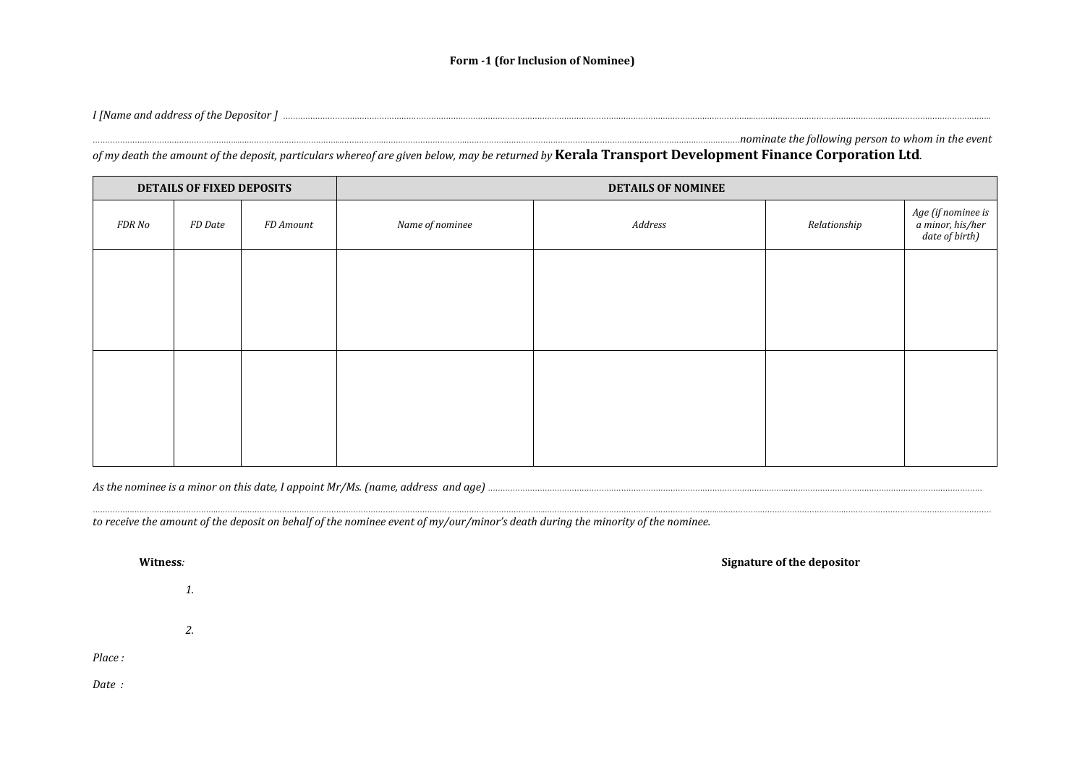## Form -1 (for Inclusion of Nominee)

I [Name and address of the Depositor ] with the contract of the Depositor ] with the event and address of the Depositor ] with the contract the following person to whom in the event

of my death the amount of the deposit, particulars whereof are given below, may be returned by **Kerala Transport Development Finance Corporation Ltd**.

| <b>DETAILS OF FIXED DEPOSITS</b> |         |           | <b>DETAILS OF NOMINEE</b> |         |              |                                                          |
|----------------------------------|---------|-----------|---------------------------|---------|--------------|----------------------------------------------------------|
| FDR No                           | FD Date | FD Amount | Name of nominee           | Address | Relationship | Age (if nominee is<br>a minor, his/her<br>date of birth) |
|                                  |         |           |                           |         |              |                                                          |
|                                  |         |           |                           |         |              |                                                          |
|                                  |         |           |                           |         |              |                                                          |
|                                  |         |           |                           |         |              |                                                          |
|                                  |         |           |                           |         |              |                                                          |
|                                  |         |           |                           |         |              |                                                          |
|                                  |         |           |                           |         |              |                                                          |

…………….…………………………….……………………………………………………………………………………………………………………..……………………………………………………………...…………….…………………………….……………………………………………………

As the nominee is a minor on this date, I appoint Mr/Ms. (name, address and age) ………………………………………………………………………………………………………….…….…………………………….…………………………………

to receive the amount of the deposit on behalf of the nominee event of my/our/minor's death during the minority of the nominee.

**Witness:** Signature of the depositor  $\blacksquare$ 

1.

2.

Place :

Date :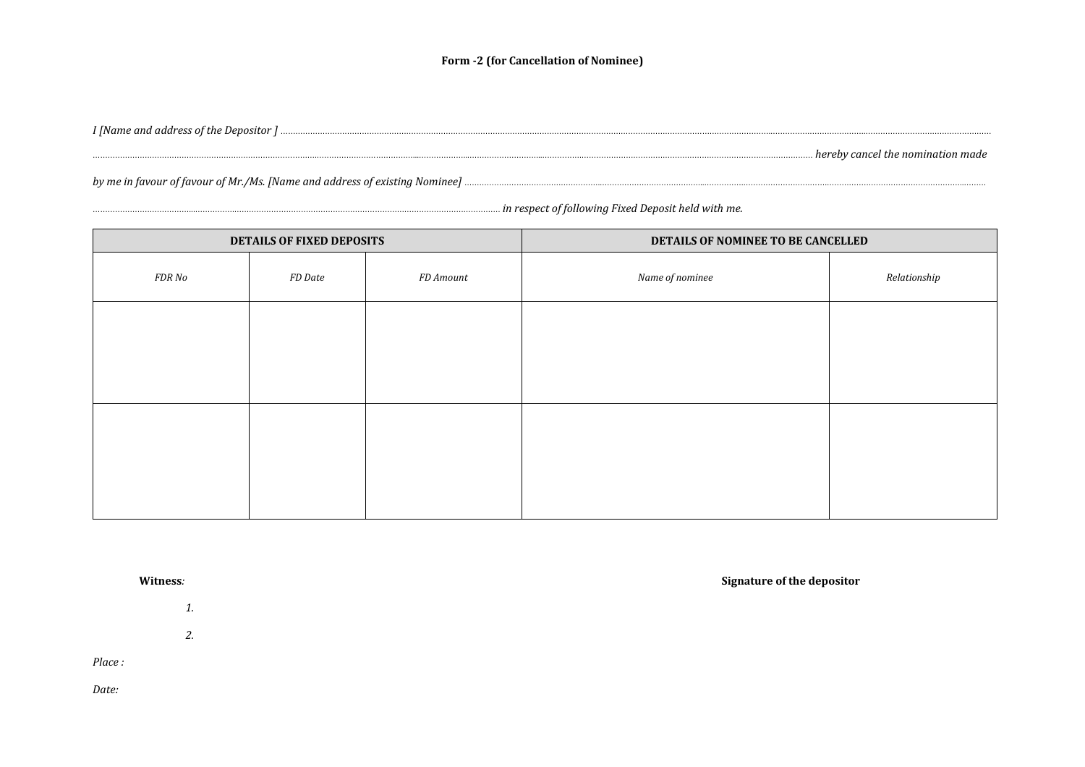## Form -2 (for Cancellation of Nominee)

I [Name and address of the Depositor ] ………………………………………………………………………………………………………………………………………………………………………………..………………………………..…………………………………………… ……………………………………………………………………………….…………………………………...………………...………………………...…………….…………………………….…………………………………………………… hereby cancel the nomination made

by me in favour of favour of Mr./Ms. [Name and address of existing Nominee] ………………………………………………..…………………………………...…………….…………………………….………………………………………………..………

|        | DETAILS OF FIXED DEPOSITS |           | DETAILS OF NOMINEE TO BE CANCELLED |              |  |
|--------|---------------------------|-----------|------------------------------------|--------------|--|
| FDR No | FD Date                   | FD Amount | Name of nominee                    | Relationship |  |
|        |                           |           |                                    |              |  |
|        |                           |           |                                    |              |  |
|        |                           |           |                                    |              |  |
|        |                           |           |                                    |              |  |
|        |                           |           |                                    |              |  |

…………………………………...…………….……………………………………………………………………………………………… in respect of following Fixed Deposit held with me.

1.

2.

Place :

Date:

**Witness:** Signature of the depositor  $\blacksquare$